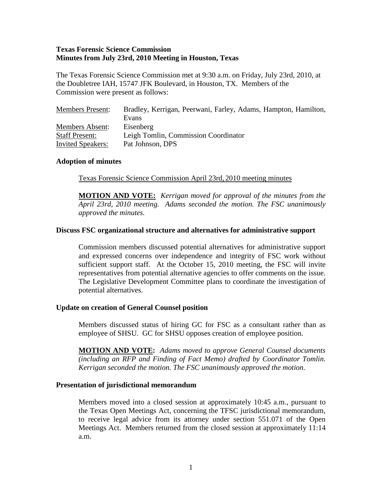### **Texas Forensic Science Commission Minutes from July 23rd, 2010 Meeting in Houston, Texas**

The Texas Forensic Science Commission met at 9:30 a.m. on Friday, July 23rd, 2010, at the Doubletree IAH, 15747 JFK Boulevard, in Houston, TX. Members of the Commission were present as follows:

| <b>Members Present:</b>  | Bradley, Kerrigan, Peerwani, Farley, Adams, Hampton, Hamilton, |
|--------------------------|----------------------------------------------------------------|
|                          | Evans                                                          |
| Members Absent:          | Eisenberg                                                      |
| <b>Staff Present:</b>    | Leigh Tomlin, Commission Coordinator                           |
| <b>Invited Speakers:</b> | Pat Johnson, DPS                                               |

#### **Adoption of minutes**

Texas Forensic Science Commission April 23rd, 2010 meeting minutes

**MOTION AND VOTE:** *Kerrigan moved for approval of the minutes from the April 23rd, 2010 meeting. Adams seconded the motion. The FSC unanimously approved the minutes.* 

### **Discuss FSC organizational structure and alternatives for administrative support**

Commission members discussed potential alternatives for administrative support and expressed concerns over independence and integrity of FSC work without sufficient support staff. At the October 15, 2010 meeting, the FSC will invite representatives from potential alternative agencies to offer comments on the issue. The Legislative Development Committee plans to coordinate the investigation of potential alternatives.

#### **Update on creation of General Counsel position**

Members discussed status of hiring GC for FSC as a consultant rather than as employee of SHSU. GC for SHSU opposes creation of employee position.

**MOTION AND VOTE:** *Adams moved to approve General Counsel documents (including an RFP and Finding of Fact Memo) drafted by Coordinator Tomlin. Kerrigan seconded the motion. The FSC unanimously approved the motion.* 

#### **Presentation of jurisdictional memorandum**

Members moved into a closed session at approximately 10:45 a.m., pursuant to the Texas Open Meetings Act, concerning the TFSC jurisdictional memorandum, to receive legal advice from its attorney under section 551.071 of the Open Meetings Act. Members returned from the closed session at approximately 11:14 a.m.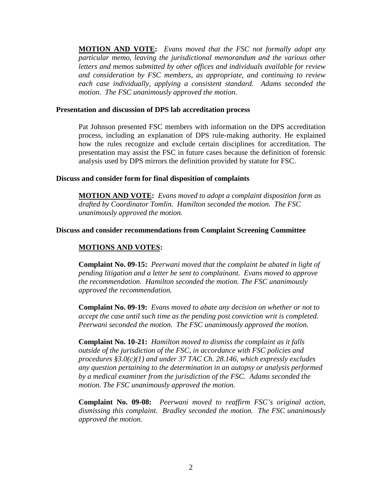**MOTION AND VOTE:** *Evans moved that the FSC not formally adopt any particular memo, leaving the jurisdictional memorandum and the various other letters and memos submitted by other offices and individuals available for review and consideration by FSC members, as appropriate, and continuing to review each case individually, applying a consistent standard. Adams seconded the motion. The FSC unanimously approved the motion.* 

#### **Presentation and discussion of DPS lab accreditation process**

Pat Johnson presented FSC members with information on the DPS accreditation process, including an explanation of DPS rule-making authority. He explained how the rules recognize and exclude certain disciplines for accreditation. The presentation may assist the FSC in future cases because the definition of forensic analysis used by DPS mirrors the definition provided by statute for FSC.

#### **Discuss and consider form for final disposition of complaints**

**MOTION AND VOTE:** *Evans moved to adopt a complaint disposition form as drafted by Coordinator Tomlin. Hamilton seconded the motion. The FSC unanimously approved the motion.* 

#### **Discuss and consider recommendations from Complaint Screening Committee**

# **MOTIONS AND VOTES:**

**Complaint No. 09-15:** *Peerwani moved that the complaint be abated in light of pending litigation and a letter be sent to complainant. Evans moved to approve the recommendation. Hamilton seconded the motion. The FSC unanimously approved the recommendation.*

**Complaint No. 09-19:** *Evans moved to abate any decision on whether or not to accept the case until such time as the pending post conviction writ is completed. Peerwani seconded the motion. The FSC unanimously approved the motion.*

**Complaint No. 10-21:** *Hamilton moved to dismiss the complaint as it falls outside of the jurisdiction of the FSC, in accordance with FSC policies and procedures §3.0(c)(1) and under 37 TAC Ch. 28.146, which expressly excludes any question pertaining to the determination in an autopsy or analysis performed by a medical examiner from the jurisdiction of the FSC. Adams seconded the motion. The FSC unanimously approved the motion.* 

**Complaint No. 09-08:** *Peerwani moved to reaffirm FSC's original action, dismissing this complaint. Bradley seconded the motion. The FSC unanimously approved the motion.*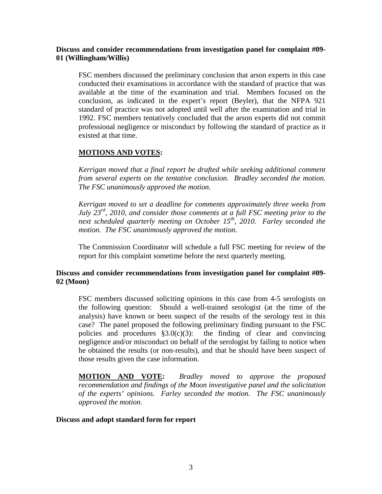### **Discuss and consider recommendations from investigation panel for complaint #09- 01 (Willingham/Willis)**

FSC members discussed the preliminary conclusion that arson experts in this case conducted their examinations in accordance with the standard of practice that was available at the time of the examination and trial. Members focused on the conclusion, as indicated in the expert's report (Beyler), that the NFPA 921 standard of practice was not adopted until well after the examination and trial in 1992. FSC members tentatively concluded that the arson experts did not commit professional negligence or misconduct by following the standard of practice as it existed at that time.

# **MOTIONS AND VOTES:**

*Kerrigan moved that a final report be drafted while seeking additional comment from several experts on the tentative conclusion. Bradley seconded the motion. The FSC unanimously approved the motion.* 

*Kerrigan moved to set a deadline for comments approximately three weeks from July 23rd, 2010, and consider those comments at a full FSC meeting prior to the next scheduled quarterly meeting on October 15th, 2010. Farley seconded the motion. The FSC unanimously approved the motion.*

The Commission Coordinator will schedule a full FSC meeting for review of the report for this complaint sometime before the next quarterly meeting.

# **Discuss and consider recommendations from investigation panel for complaint #09- 02 (Moon)**

FSC members discussed soliciting opinions in this case from 4-5 serologists on the following question: Should a well-trained serologist (at the time of the analysis) have known or been suspect of the results of the serology test in this case? The panel proposed the following preliminary finding pursuant to the FSC policies and procedures  $\S3.0(c)(3)$ : the finding of clear and convincing negligence and/or misconduct on behalf of the serologist by failing to notice when he obtained the results (or non-results), and that he should have been suspect of those results given the case information.

**MOTION AND VOTE:** *Bradley moved to approve the proposed recommendation and findings of the Moon investigative panel and the solicitation of the experts' opinions. Farley seconded the motion. The FSC unanimously approved the motion.*

#### **Discuss and adopt standard form for report**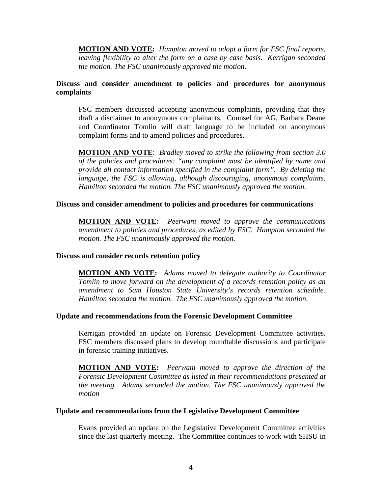**MOTION AND VOTE:** *Hampton moved to adopt a form for FSC final reports, leaving flexibility to alter the form on a case by case basis. Kerrigan seconded the motion. The FSC unanimously approved the motion.*

# **Discuss and consider amendment to policies and procedures for anonymous complaints**

FSC members discussed accepting anonymous complaints, providing that they draft a disclaimer to anonymous complainants. Counsel for AG, Barbara Deane and Coordinator Tomlin will draft language to be included on anonymous complaint forms and to amend policies and procedures.

**MOTION AND VOTE**: *Bradley moved to strike the following from section 3.0 of the policies and procedures: "any complaint must be identified by name and provide all contact information specified in the complaint form". By deleting the language, the FSC is allowing, although discouraging, anonymous complaints. Hamilton seconded the motion. The FSC unanimously approved the motion.* 

#### **Discuss and consider amendment to policies and procedures for communications**

**MOTION AND VOTE:** *Peerwani moved to approve the communications amendment to policies and procedures, as edited by FSC. Hampton seconded the motion. The FSC unanimously approved the motion.* 

#### **Discuss and consider records retention policy**

**MOTION AND VOTE:** *Adams moved to delegate authority to Coordinator Tomlin to move forward on the development of a records retention policy as an amendment to Sam Houston State University's records retention schedule. Hamilton seconded the motion. The FSC unanimously approved the motion.*

### **Update and recommendations from the Forensic Development Committee**

Kerrigan provided an update on Forensic Development Committee activities. FSC members discussed plans to develop roundtable discussions and participate in forensic training initiatives.

**MOTION AND VOTE:** *Peerwani moved to approve the direction of the Forensic Development Committee as listed in their recommendations presented at the meeting. Adams seconded the motion. The FSC unanimously approved the motion*

#### **Update and recommendations from the Legislative Development Committee**

Evans provided an update on the Legislative Development Committee activities since the last quarterly meeting. The Committee continues to work with SHSU in